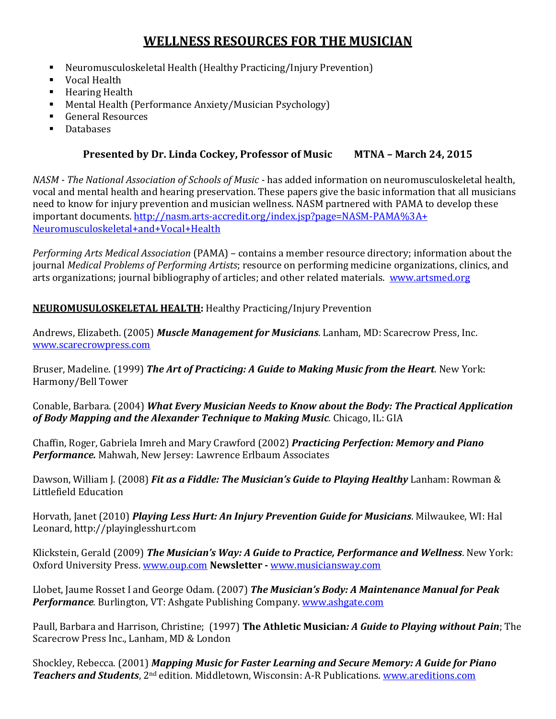# **WELLNESS RESOURCES FOR THE MUSICIAN**

- Neuromusculoskeletal Health (Healthy Practicing/Injury Prevention)
- Vocal Health
- **Hearing Health**
- **•** Mental Health (Performance Anxiety/Musician Psychology)
- General Resources
- **Databases**

# **Presented by Dr. Linda Cockey, Professor of Music MTNA – March 24, 2015**

*NASM - The National Association of Schools of Music -* has added information on neuromusculoskeletal health, vocal and mental health and hearing preservation. These papers give the basic information that all musicians need to know for injury prevention and musician wellness. NASM partnered with PAMA to develop these important documents[. http://nasm.arts-accredit.org/index.jsp?page=NASM-PAMA%3A+](http://nasm.arts-accredit.org/index.jsp?page=NASM-PAMA%3A+Neuromusculoskeletal+and+Vocal+Health) [Neuromusculoskeletal+and+Vocal+Health](http://nasm.arts-accredit.org/index.jsp?page=NASM-PAMA%3A+Neuromusculoskeletal+and+Vocal+Health)

*Performing Arts Medical Association* (PAMA) – contains a member resource directory; information about the journal *Medical Problems of Performing Artists*; resource on performing medicine organizations, clinics, and arts organizations; journal bibliography of articles; and other related materials. [www.artsmed.org](http://www.artsmed.org/)

### **NEUROMUSULOSKELETAL HEALTH:** Healthy Practicing/Injury Prevention

Andrews, Elizabeth. (2005) *Muscle Management for Musicians*. Lanham, MD: Scarecrow Press, Inc. [www.scarecrowpress.com](http://www.scarecrowpress.com/)

Bruser, Madeline. (1999) *The Art of Practicing: A Guide to Making Music from the Heart*. New York: Harmony/Bell Tower

Conable, Barbara. (2004) *What Every Musician Needs to Know about the Body: The Practical Application of Body Mapping and the Alexander Technique to Making Music.* Chicago, IL: GIA

Chaffin, Roger, Gabriela Imreh and Mary Crawford (2002) *Practicing Perfection: Memory and Piano Performance.* Mahwah, New Jersey: Lawrence Erlbaum Associates

Dawson, William J. (2008) *Fit as a Fiddle: The Musician's Guide to Playing Healthy Lanham: Rowman &* Littlefield Education

Horvath, Janet (2010) *Playing Less Hurt: An Injury Prevention Guide for Musicians*. Milwaukee, WI: Hal Leonard, http://playinglesshurt.com

Klickstein, Gerald (2009) *The Musician's Way: A Guide to Practice, Performance and Wellness*. New York: Oxford University Press[. www.oup.com](http://www.oup.com/) **Newsletter -** [www.musiciansway.com](http://www.musiciansway.com/)

Llobet, Jaume Rosset I and George Odam. (2007) *The Musician's Body: A Maintenance Manual for Peak Performance.* Burlington, VT: Ashgate Publishing Company. [www.ashgate.com](http://www.ashgate.com/)

Paull, Barbara and Harrison, Christine; (1997) **The Athletic Musician***: A Guide to Playing without Pain*; The Scarecrow Press Inc., Lanham, MD & London

Shockley, Rebecca. (2001) *Mapping Music for Faster Learning and Secure Memory: A Guide for Piano Teachers and Students*, 2nd edition. Middletown, Wisconsin: A-R Publications. [www.areditions.com](http://www.areditions.com/)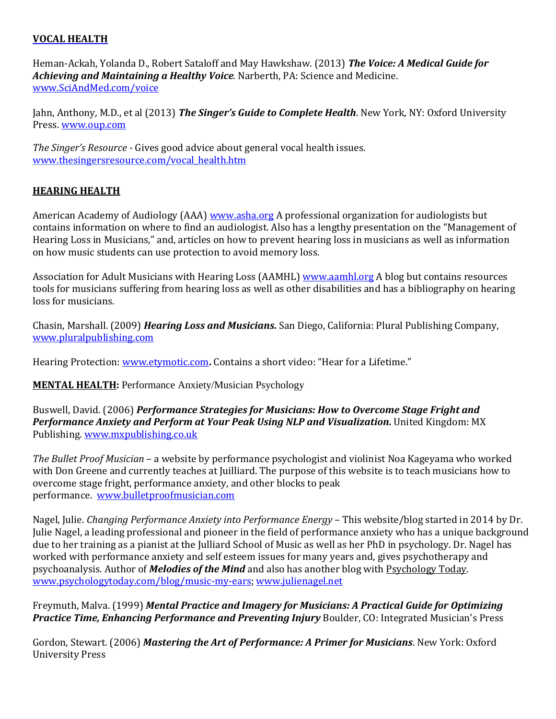### **VOCAL HEALTH**

Heman-Ackah, Yolanda D., Robert Sataloff and May Hawkshaw. (2013) *The Voice: A Medical Guide for Achieving and Maintaining a Healthy Voice.* Narberth, PA: Science and Medicine. [www.SciAndMed.com/voice](http://www.sciandmed.com/voice)

Jahn, Anthony, M.D., et al (2013) *The Singer's Guide to Complete Health*. New York, NY: Oxford University Press[. www.oup.com](http://www.oup.com/)

*The Singer's Resource -* Gives good advice about general vocal health issues. www.thesingersresource.com/vocal\_health.htm

### **HEARING HEALTH**

American Academy of Audiology (AAA) [www.asha.org](http://www.asha.org/) A professional organization for audiologists but contains information on where to find an audiologist. Also has a lengthy presentation on the "Management of Hearing Loss in Musicians," and, articles on how to prevent hearing loss in musicians as well as information on how music students can use protection to avoid memory loss.

Association for Adult Musicians with Hearing Loss (AAMHL) [www.aamhl.org](http://www.aamhl.org/) A blog but contains resources tools for musicians suffering from hearing loss as well as other disabilities and has a bibliography on hearing loss for musicians.

Chasin, Marshall. (2009) *Hearing Loss and Musicians.* San Diego, California: Plural Publishing Company, [www.pluralpublishing.com](http://www.pluralpublishing.com/)

Hearing Protection: [www.etymotic.com](http://www.etymotic.com/)**.** Contains a short video: "Hear for a Lifetime."

**MENTAL HEALTH:** Performance Anxiety/Musician Psychology

Buswell, David. (2006) *Performance Strategies for Musicians: How to Overcome Stage Fright and Performance Anxiety and Perform at Your Peak Using NLP and Visualization.* United Kingdom: MX Publishing. [www.mxpublishing.co.uk](http://www.mxpublishing.co.uk/)

*The Bullet Proof Musician* – a website by performance psychologist and violinist Noa Kageyama who worked with Don Greene and currently teaches at Juilliard. The purpose of this website is to teach musicians how to overcome stage fright, performance anxiety, and other blocks to peak performance. [www.bulletproofmusician.com](http://www.bulletproofmusician.com/)

Nagel, Julie. *Changing Performance Anxiety into Performance Energy* – This website/blog started in 2014 by Dr. Julie Nagel, a leading professional and pioneer in the field of performance anxiety who has a unique background due to her training as a pianist at the Julliard School of Music as well as her PhD in psychology. Dr. Nagel has worked with performance anxiety and self esteem issues for many years and, gives psychotherapy and psychoanalysis. Author of *Melodies of the Mind* and also has another blog with Psychology Today. [www.psychologytoday.com/blog/music-my-ears;](http://www.psychologytoday.com/blog/music-my-ears) [www.julienagel.net](http://www.julienagel.net/)

Freymuth, Malva. (1999) *Mental Practice and Imagery for Musicians: A Practical Guide for Optimizing Practice Time, Enhancing Performance and Preventing Injury* Boulder, CO: Integrated Musician's Press

Gordon, Stewart. (2006) *Mastering the Art of Performance: A Primer for Musicians*. New York: Oxford University Press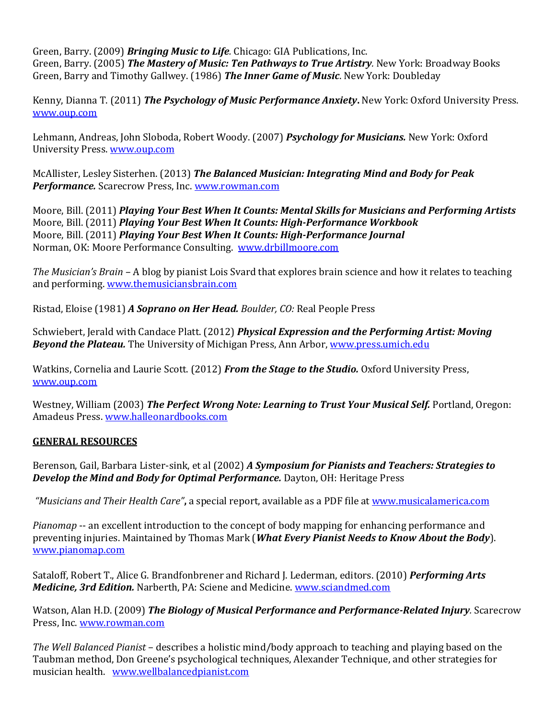Green, Barry. (2009) *Bringing Music to Life.* Chicago: GIA Publications, Inc. Green, Barry. (2005) *The Mastery of Music: Ten Pathways to True Artistry.* New York: Broadway Books Green, Barry and Timothy Gallwey. (1986) *The Inner Game of Music*. New York: Doubleday

Kenny, Dianna T. (2011) *The Psychology of Music Performance Anxiety***.** New York: Oxford University Press. [www.oup.com](http://www.oup.com/)

Lehmann, Andreas, John Sloboda, Robert Woody. (2007) *Psychology for Musicians.* New York: Oxford University Press. [www.oup.com](http://www.oup.com/)

McAllister, Lesley Sisterhen. (2013) *The Balanced Musician: Integrating Mind and Body for Peak Performance.* Scarecrow Press, Inc. [www.rowman.com](http://www.rowman.com/)

Moore, Bill. (2011) *Playing Your Best When It Counts: Mental Skills for Musicians and Performing Artists* Moore, Bill. (2011) *Playing Your Best When It Counts: High-Performance Workbook* Moore, Bill. (2011) *Playing Your Best When It Counts: High-Performance Journal* Norman, OK: Moore Performance Consulting. [www.drbillmoore.com](http://www.playingyourbest.com/)

*The Musician's Brain –* A blog by pianist Lois Svard that explores brain science and how it relates to teaching and performing. [www.themusiciansbrain.com](http://www.themusiciansbrain.com/)

Ristad, Eloise (1981) *A Soprano on Her Head. Boulder, CO:* Real People Press

Schwiebert, Jerald with Candace Platt. (2012) *Physical Expression and the Performing Artist: Moving*  **Beyond the Plateau.** The University of Michigan Press, Ann Arbor[, www.press.umich.edu](http://www.press.umich.edu/)

Watkins, Cornelia and Laurie Scott. (2012) *From the Stage to the Studio.* Oxford University Press, [www.oup.com](http://www.oup.com/)

Westney, William (2003) *The Perfect Wrong Note: Learning to Trust Your Musical Self.* Portland, Oregon: Amadeus Press. [www.halleonardbooks.com](http://www.halleonardbooks.com/)

### **GENERAL RESOURCES**

Berenson, Gail, Barbara Lister-sink, et al (2002) *A Symposium for Pianists and Teachers: Strategies to Develop the Mind and Body for Optimal Performance.* Dayton, OH: Heritage Press

*"Musicians and Their Health Care"***,** a special report, available as a PDF file a[t www.musicalamerica.com](http://www.musicalamerica.com/)

*Pianomap* -- an excellent introduction to the concept of body mapping for enhancing performance and preventing injuries. Maintained by Thomas Mark (*What Every Pianist Needs to Know About the Body*). [www.pianomap.com](http://www.pianomap.com/)

Sataloff, Robert T., Alice G. Brandfonbrener and Richard J. Lederman, editors. (2010) *Performing Arts Medicine, 3rd Edition.* Narberth, PA: Sciene and Medicine[. www.sciandmed.com](http://www.sciandmed.com/)

Watson, Alan H.D. (2009) *The Biology of Musical Performance and Performance-Related Injury.* Scarecrow Press, Inc. [www.rowman.com](http://www.rowman.com/)

*The Well Balanced Pianist* – describes a holistic mind/body approach to teaching and playing based on the Taubman method, Don Greene's psychological techniques, Alexander Technique, and other strategies for musician health. [www.wellbalancedpianist.com](http://www.wellbalancedpianist.com/)